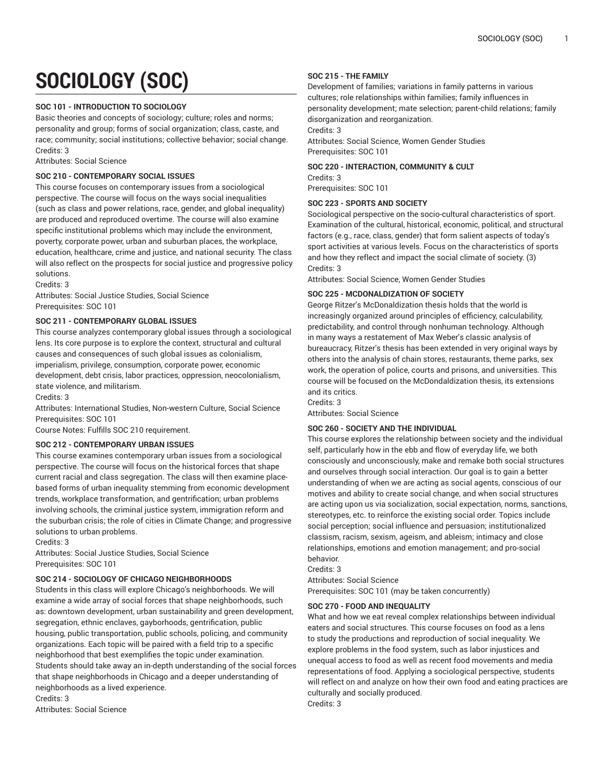# **SOCIOLOGY (SOC)**

# **SOC 101 - INTRODUCTION TO SOCIOLOGY**

Basic theories and concepts of sociology; culture; roles and norms; personality and group; forms of social organization; class, caste, and race; community; social institutions; collective behavior; social change. Credits: 3

Attributes: Social Science

# **SOC 210 - CONTEMPORARY SOCIAL ISSUES**

This course focuses on contemporary issues from a sociological perspective. The course will focus on the ways social inequalities (such as class and power relations, race, gender, and global inequality) are produced and reproduced overtime. The course will also examine specific institutional problems which may include the environment, poverty, corporate power, urban and suburban places, the workplace, education, healthcare, crime and justice, and national security. The class will also reflect on the prospects for social justice and progressive policy solutions.

Credits: 3

Attributes: Social Justice Studies, Social Science Prerequisites: SOC 101

# **SOC 211 - CONTEMPORARY GLOBAL ISSUES**

This course analyzes contemporary global issues through a sociological lens. Its core purpose is to explore the context, structural and cultural causes and consequences of such global issues as colonialism, imperialism, privilege, consumption, corporate power, economic development, debt crisis, labor practices, oppression, neocolonialism, state violence, and militarism.

Credits: 3

Attributes: International Studies, Non-western Culture, Social Science Prerequisites: SOC 101

Course Notes: Fulfills SOC 210 requirement.

# **SOC 212 - CONTEMPORARY URBAN ISSUES**

This course examines contemporary urban issues from a sociological perspective. The course will focus on the historical forces that shape current racial and class segregation. The class will then examine placebased forms of urban inequality stemming from economic development trends, workplace transformation, and gentrification; urban problems involving schools, the criminal justice system, immigration reform and the suburban crisis; the role of cities in Climate Change; and progressive solutions to urban problems.

Credits: 3

Attributes: Social Justice Studies, Social Science Prerequisites: SOC 101

# **SOC 214 - SOCIOLOGY OF CHICAGO NEIGHBORHOODS**

Students in this class will explore Chicago's neighborhoods. We will examine a wide array of social forces that shape neighborhoods, such as: downtown development, urban sustainability and green development, segregation, ethnic enclaves, gayborhoods, gentrification, public housing, public transportation, public schools, policing, and community organizations. Each topic will be paired with a field trip to a specific neighborhood that best exemplifies the topic under examination. Students should take away an in-depth understanding of the social forces that shape neighborhoods in Chicago and a deeper understanding of neighborhoods as a lived experience.

Credits: 3 Attributes: Social Science

# **SOC 215 - THE FAMILY**

Development of families; variations in family patterns in various cultures; role relationships within families; family influences in personality development; mate selection; parent-child relations; family disorganization and reorganization.

Credits: 3

Attributes: Social Science, Women Gender Studies Prerequisites: SOC 101

## **SOC 220 - INTERACTION, COMMUNITY & CULT**

Credits: 3 Prerequisites: SOC 101

# **SOC 223 - SPORTS AND SOCIETY**

Sociological perspective on the socio-cultural characteristics of sport. Examination of the cultural, historical, economic, political, and structural factors (e.g., race, class, gender) that form salient aspects of today's sport activities at various levels. Focus on the characteristics of sports and how they reflect and impact the social climate of society. (3) Credits: 3

Attributes: Social Science, Women Gender Studies

# **SOC 225 - MCDONALDIZATION OF SOCIETY**

George Ritzer's McDonaldization thesis holds that the world is increasingly organized around principles of efficiency, calculability, predictability, and control through nonhuman technology. Although in many ways a restatement of Max Weber's classic analysis of bureaucracy, Ritzer's thesis has been extended in very original ways by others into the analysis of chain stores, restaurants, theme parks, sex work, the operation of police, courts and prisons, and universities. This course will be focused on the McDondaldization thesis, its extensions and its critics.

Credits: 3

Attributes: Social Science

# **SOC 260 - SOCIETY AND THE INDIVIDUAL**

This course explores the relationship between society and the individual self, particularly how in the ebb and flow of everyday life, we both consciously and unconsciously, make and remake both social structures and ourselves through social interaction. Our goal is to gain a better understanding of when we are acting as social agents, conscious of our motives and ability to create social change, and when social structures are acting upon us via socialization, social expectation, norms, sanctions, stereotypes, etc. to reinforce the existing social order. Topics include social perception; social influence and persuasion; institutionalized classism, racism, sexism, ageism, and ableism; intimacy and close relationships, emotions and emotion management; and pro-social behavior.

Credits: 3

Attributes: Social Science

Prerequisites: SOC 101 (may be taken concurrently)

# **SOC 270 - FOOD AND INEQUALITY**

What and how we eat reveal complex relationships between individual eaters and social structures. This course focuses on food as a lens to study the productions and reproduction of social inequality. We explore problems in the food system, such as labor injustices and unequal access to food as well as recent food movements and media representations of food. Applying a sociological perspective, students will reflect on and analyze on how their own food and eating practices are culturally and socially produced.

Credits: 3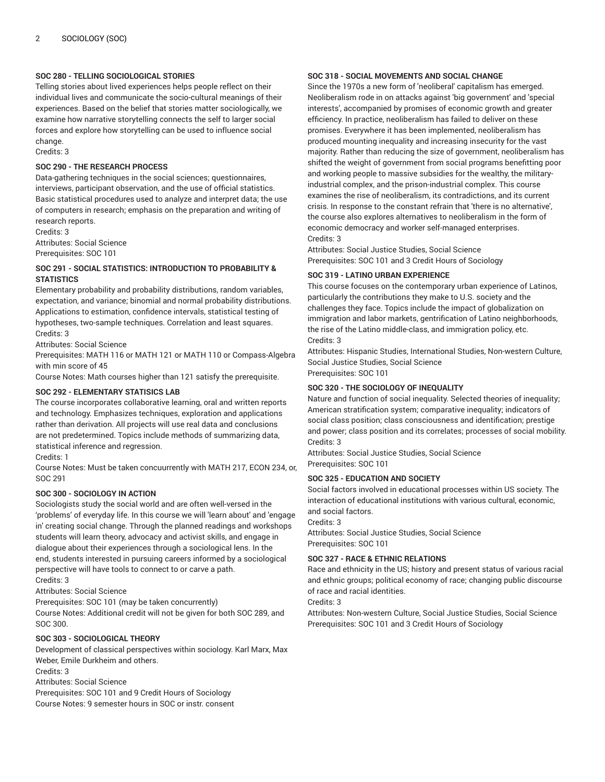# **SOC 280 - TELLING SOCIOLOGICAL STORIES**

Telling stories about lived experiences helps people reflect on their individual lives and communicate the socio-cultural meanings of their experiences. Based on the belief that stories matter sociologically, we examine how narrative storytelling connects the self to larger social forces and explore how storytelling can be used to influence social change.

Credits: 3

#### **SOC 290 - THE RESEARCH PROCESS**

Data-gathering techniques in the social sciences; questionnaires, interviews, participant observation, and the use of official statistics. Basic statistical procedures used to analyze and interpret data; the use of computers in research; emphasis on the preparation and writing of research reports.

Credits: 3 Attributes: Social Science Prerequisites: SOC 101

# **SOC 291 - SOCIAL STATISTICS: INTRODUCTION TO PROBABILITY & STATISTICS**

Elementary probability and probability distributions, random variables, expectation, and variance; binomial and normal probability distributions. Applications to estimation, confidence intervals, statistical testing of hypotheses, two-sample techniques. Correlation and least squares. Credits: 3

Attributes: Social Science

Prerequisites: MATH 116 or MATH 121 or MATH 110 or Compass-Algebra with min score of 45

Course Notes: Math courses higher than 121 satisfy the prerequisite.

# **SOC 292 - ELEMENTARY STATISICS LAB**

The course incorporates collaborative learning, oral and written reports and technology. Emphasizes techniques, exploration and applications rather than derivation. All projects will use real data and conclusions are not predetermined. Topics include methods of summarizing data, statistical inference and regression.

Credits: 1

Course Notes: Must be taken concuurrently with MATH 217, ECON 234, or, SOC 291

#### **SOC 300 - SOCIOLOGY IN ACTION**

Sociologists study the social world and are often well-versed in the 'problems' of everyday life. In this course we will 'learn about' and 'engage in' creating social change. Through the planned readings and workshops students will learn theory, advocacy and activist skills, and engage in dialogue about their experiences through a sociological lens. In the end, students interested in pursuing careers informed by a sociological perspective will have tools to connect to or carve a path.

Credits: 3

Attributes: Social Science

Prerequisites: SOC 101 (may be taken concurrently)

Course Notes: Additional credit will not be given for both SOC 289, and SOC 300.

## **SOC 303 - SOCIOLOGICAL THEORY**

Development of classical perspectives within sociology. Karl Marx, Max Weber, Emile Durkheim and others.

Credits: 3

Attributes: Social Science

Prerequisites: SOC 101 and 9 Credit Hours of Sociology Course Notes: 9 semester hours in SOC or instr. consent

## **SOC 318 - SOCIAL MOVEMENTS AND SOCIAL CHANGE**

Since the 1970s a new form of 'neoliberal' capitalism has emerged. Neoliberalism rode in on attacks against 'big government' and 'special interests', accompanied by promises of economic growth and greater efficiency. In practice, neoliberalism has failed to deliver on these promises. Everywhere it has been implemented, neoliberalism has produced mounting inequality and increasing insecurity for the vast majority. Rather than reducing the size of government, neoliberalism has shifted the weight of government from social programs benefitting poor and working people to massive subsidies for the wealthy, the militaryindustrial complex, and the prison-industrial complex. This course examines the rise of neoliberalism, its contradictions, and its current crisis. In response to the constant refrain that 'there is no alternative', the course also explores alternatives to neoliberalism in the form of economic democracy and worker self-managed enterprises. Credits: 3

Attributes: Social Justice Studies, Social Science Prerequisites: SOC 101 and 3 Credit Hours of Sociology

#### **SOC 319 - LATINO URBAN EXPERIENCE**

This course focuses on the contemporary urban experience of Latinos, particularly the contributions they make to U.S. society and the challenges they face. Topics include the impact of globalization on immigration and labor markets, gentrification of Latino neighborhoods, the rise of the Latino middle-class, and immigration policy, etc. Credits: 3

Attributes: Hispanic Studies, International Studies, Non-western Culture, Social Justice Studies, Social Science Prerequisites: SOC 101

#### **SOC 320 - THE SOCIOLOGY OF INEQUALITY**

Nature and function of social inequality. Selected theories of inequality; American stratification system; comparative inequality; indicators of social class position; class consciousness and identification; prestige and power; class position and its correlates; processes of social mobility. Credits: 3

Attributes: Social Justice Studies, Social Science Prerequisites: SOC 101

# **SOC 325 - EDUCATION AND SOCIETY**

Social factors involved in educational processes within US society. The interaction of educational institutions with various cultural, economic, and social factors.

Credits: 3

Attributes: Social Justice Studies, Social Science Prerequisites: SOC 101

## **SOC 327 - RACE & ETHNIC RELATIONS**

Race and ethnicity in the US; history and present status of various racial and ethnic groups; political economy of race; changing public discourse of race and racial identities.

Credits: 3

Attributes: Non-western Culture, Social Justice Studies, Social Science Prerequisites: SOC 101 and 3 Credit Hours of Sociology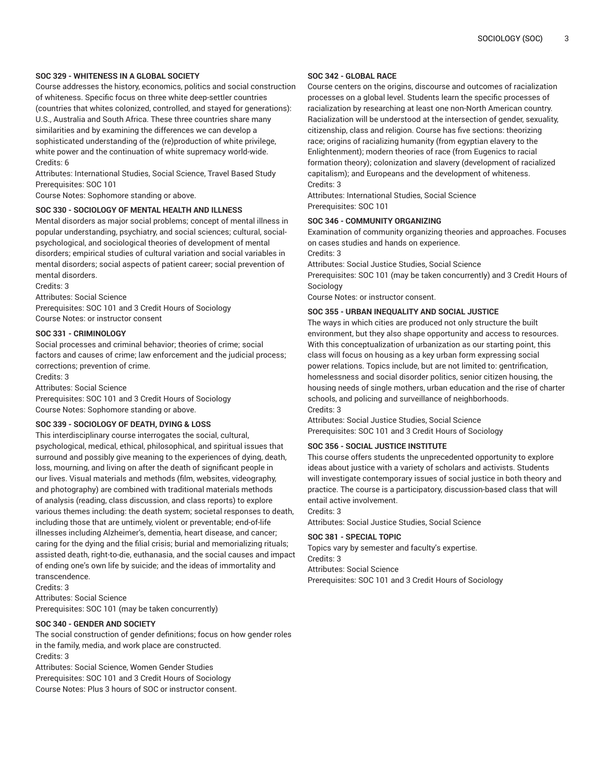# **SOC 329 - WHITENESS IN A GLOBAL SOCIETY**

Course addresses the history, economics, politics and social construction of whiteness. Specific focus on three white deep-settler countries (countries that whites colonized, controlled, and stayed for generations): U.S., Australia and South Africa. These three countries share many similarities and by examining the differences we can develop a sophisticated understanding of the (re)production of white privilege, white power and the continuation of white supremacy world-wide. Credits: 6

Attributes: International Studies, Social Science, Travel Based Study Prerequisites: SOC 101

Course Notes: Sophomore standing or above.

# **SOC 330 - SOCIOLOGY OF MENTAL HEALTH AND ILLNESS**

Mental disorders as major social problems; concept of mental illness in popular understanding, psychiatry, and social sciences; cultural, socialpsychological, and sociological theories of development of mental disorders; empirical studies of cultural variation and social variables in mental disorders; social aspects of patient career; social prevention of mental disorders.

Credits: 3

Attributes: Social Science

Prerequisites: SOC 101 and 3 Credit Hours of Sociology Course Notes: or instructor consent

#### **SOC 331 - CRIMINOLOGY**

Social processes and criminal behavior; theories of crime; social factors and causes of crime; law enforcement and the judicial process; corrections; prevention of crime.

Credits: 3

Attributes: Social Science

Prerequisites: SOC 101 and 3 Credit Hours of Sociology Course Notes: Sophomore standing or above.

## **SOC 339 - SOCIOLOGY OF DEATH, DYING & LOSS**

This interdisciplinary course interrogates the social, cultural, psychological, medical, ethical, philosophical, and spiritual issues that surround and possibly give meaning to the experiences of dying, death, loss, mourning, and living on after the death of significant people in our lives. Visual materials and methods (film, websites, videography, and photography) are combined with traditional materials methods of analysis (reading, class discussion, and class reports) to explore various themes including: the death system; societal responses to death, including those that are untimely, violent or preventable; end-of-life illnesses including Alzheimer's, dementia, heart disease, and cancer; caring for the dying and the filial crisis; burial and memorializing rituals; assisted death, right-to-die, euthanasia, and the social causes and impact of ending one's own life by suicide; and the ideas of immortality and transcendence.

Credits: 3 Attributes: Social Science Prerequisites: SOC 101 (may be taken concurrently)

**SOC 340 - GENDER AND SOCIETY**

The social construction of gender definitions; focus on how gender roles in the family, media, and work place are constructed. Credits: 3

Attributes: Social Science, Women Gender Studies Prerequisites: SOC 101 and 3 Credit Hours of Sociology Course Notes: Plus 3 hours of SOC or instructor consent.

## **SOC 342 - GLOBAL RACE**

Course centers on the origins, discourse and outcomes of racialization processes on a global level. Students learn the specific processes of racialization by researching at least one non-North American country. Racialization will be understood at the intersection of gender, sexuality, citizenship, class and religion. Course has five sections: theorizing race; origins of racializing humanity (from egyptian elavery to the Enlightenment); modern theories of race (from Eugenics to racial formation theory); colonization and slavery (development of racialized capitalism); and Europeans and the development of whiteness. Credits: 3

Attributes: International Studies, Social Science Prerequisites: SOC 101

#### **SOC 346 - COMMUNITY ORGANIZING**

Examination of community organizing theories and approaches. Focuses on cases studies and hands on experience.

Credits: 3

Attributes: Social Justice Studies, Social Science

Prerequisites: SOC 101 (may be taken concurrently) and 3 Credit Hours of Sociology

Course Notes: or instructor consent.

#### **SOC 355 - URBAN INEQUALITY AND SOCIAL JUSTICE**

The ways in which cities are produced not only structure the built environment, but they also shape opportunity and access to resources. With this conceptualization of urbanization as our starting point, this class will focus on housing as a key urban form expressing social power relations. Topics include, but are not limited to: gentrification, homelessness and social disorder politics, senior citizen housing, the housing needs of single mothers, urban education and the rise of charter schools, and policing and surveillance of neighborhoods. Credits: 3

Attributes: Social Justice Studies, Social Science Prerequisites: SOC 101 and 3 Credit Hours of Sociology

# **SOC 356 - SOCIAL JUSTICE INSTITUTE**

This course offers students the unprecedented opportunity to explore ideas about justice with a variety of scholars and activists. Students will investigate contemporary issues of social justice in both theory and practice. The course is a participatory, discussion-based class that will entail active involvement.

Credits: 3

Attributes: Social Justice Studies, Social Science

#### **SOC 381 - SPECIAL TOPIC**

Topics vary by semester and faculty's expertise. Credits: 3 Attributes: Social Science Prerequisites: SOC 101 and 3 Credit Hours of Sociology